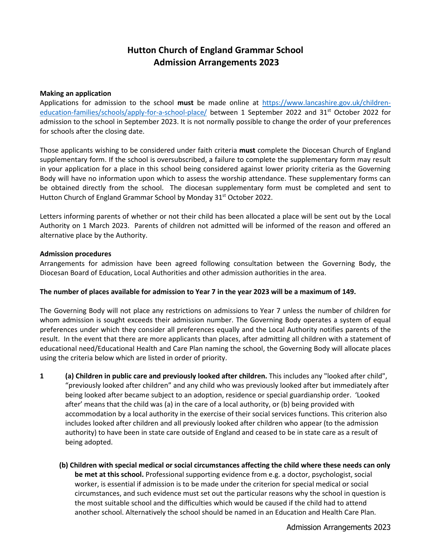# **Hutton Church of England Grammar School Admission Arrangements 2023**

#### **Making an application**

Applications for admission to the school **must** be made online at [https://www.lancashire.gov.uk/children](https://www.lancashire.gov.uk/children-education-families/schools/apply-for-a-school-place/)[education-families/schools/apply-for-a-school-place/](https://www.lancashire.gov.uk/children-education-families/schools/apply-for-a-school-place/) between 1 September 2022 and 31<sup>st</sup> October 2022 for admission to the school in September 2023. It is not normally possible to change the order of your preferences for schools after the closing date.

Those applicants wishing to be considered under faith criteria **must** complete the Diocesan Church of England supplementary form. If the school is oversubscribed, a failure to complete the supplementary form may result in your application for a place in this school being considered against lower priority criteria as the Governing Body will have no information upon which to assess the worship attendance. These supplementary forms can be obtained directly from the school. The diocesan supplementary form must be completed and sent to Hutton Church of England Grammar School by Monday 31<sup>st</sup> October 2022.

Letters informing parents of whether or not their child has been allocated a place will be sent out by the Local Authority on 1 March 2023. Parents of children not admitted will be informed of the reason and offered an alternative place by the Authority.

#### **Admission procedures**

Arrangements for admission have been agreed following consultation between the Governing Body, the Diocesan Board of Education, Local Authorities and other admission authorities in the area.

#### **The number of places available for admission to Year 7 in the year 2023 will be a maximum of 149.**

The Governing Body will not place any restrictions on admissions to Year 7 unless the number of children for whom admission is sought exceeds their admission number. The Governing Body operates a system of equal preferences under which they consider all preferences equally and the Local Authority notifies parents of the result. In the event that there are more applicants than places, after admitting all children with a statement of educational need/Educational Health and Care Plan naming the school, the Governing Body will allocate places using the criteria below which are listed in order of priority.

- **1 (a) Children in public care and previously looked after children.** This includes any "looked after child", "previously looked after children" and any child who was previously looked after but immediately after being looked after became subject to an adoption, residence or special guardianship order. 'Looked after' means that the child was (a) in the care of a local authority, or (b) being provided with accommodation by a local authority in the exercise of their social services functions. This criterion also includes looked after children and all previously looked after children who appear (to the admission authority) to have been in state care outside of England and ceased to be in state care as a result of being adopted.
	- **(b) Children with special medical or social circumstances affecting the child where these needs can only be met at this school.** Professional supporting evidence from e.g. a doctor, psychologist, social worker, is essential if admission is to be made under the criterion for special medical or social circumstances, and such evidence must set out the particular reasons why the school in question is the most suitable school and the difficulties which would be caused if the child had to attend another school. Alternatively the school should be named in an Education and Health Care Plan.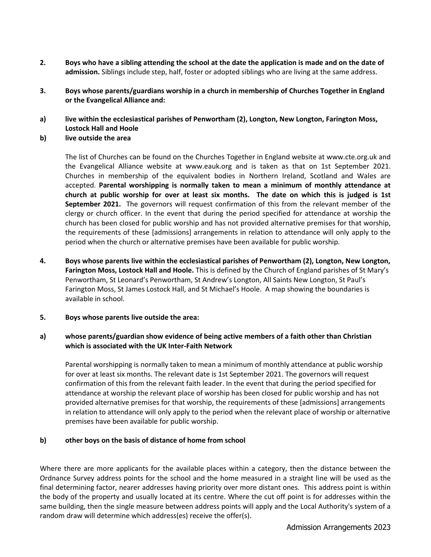- **2. Boys who have a sibling attending the school at the date the application is made and on the date of admission.** Siblings include step, half, foster or adopted siblings who are living at the same address.
- **3. Boys whose parents/guardians worship in a church in membership of Churches Together in England or the Evangelical Alliance and:**
- **a) live within the ecclesiastical parishes of Penwortham (2), Longton, New Longton, Farington Moss, Lostock Hall and Hoole**
- **b) live outside the area**

The list of Churches can be found on the Churches Together in England website at www.cte.org.uk and the Evangelical Alliance website at www.eauk.org and is taken as that on 1st September 2021. Churches in membership of the equivalent bodies in Northern Ireland, Scotland and Wales are accepted. **Parental worshipping is normally taken to mean a minimum of monthly attendance at church at public worship for over at least six months. The date on which this is judged is 1st September 2021.** The governors will request confirmation of this from the relevant member of the clergy or church officer. In the event that during the period specified for attendance at worship the church has been closed for public worship and has not provided alternative premises for that worship, the requirements of these [admissions] arrangements in relation to attendance will only apply to the period when the church or alternative premises have been available for public worship.

- **4. Boys whose parents live within the ecclesiastical parishes of Penwortham (2), Longton, New Longton, Farington Moss, Lostock Hall and Hoole.** This is defined by the Church of England parishes of St Mary's Penwortham, St Leonard's Penwortham, St Andrew's Longton, All Saints New Longton, St Paul's Farington Moss, St James Lostock Hall, and St Michael's Hoole. A map showing the boundaries is available in school.
- **5. Boys whose parents live outside the area:**

### **a) whose parents/guardian show evidence of being active members of a faith other than Christian which is associated with the UK Inter-Faith Network**

Parental worshipping is normally taken to mean a minimum of monthly attendance at public worship for over at least six months. The relevant date is 1st September 2021. The governors will request confirmation of this from the relevant faith leader. In the event that during the period specified for attendance at worship the relevant place of worship has been closed for public worship and has not provided alternative premises for that worship, the requirements of these [admissions] arrangements in relation to attendance will only apply to the period when the relevant place of worship or alternative premises have been available for public worship.

### **b) other boys on the basis of distance of home from school**

Where there are more applicants for the available places within a category, then the distance between the Ordnance Survey address points for the school and the home measured in a straight line will be used as the final determining factor, nearer addresses having priority over more distant ones. This address point is within the body of the property and usually located at its centre. Where the cut off point is for addresses within the same building, then the single measure between address points will apply and the Local Authority's system of a random draw will determine which address(es) receive the offer(s).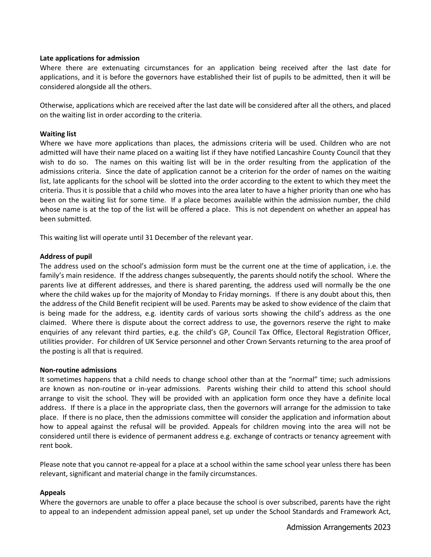#### **Late applications for admission**

Where there are extenuating circumstances for an application being received after the last date for applications, and it is before the governors have established their list of pupils to be admitted, then it will be considered alongside all the others.

Otherwise, applications which are received after the last date will be considered after all the others, and placed on the waiting list in order according to the criteria.

#### **Waiting list**

Where we have more applications than places, the admissions criteria will be used. Children who are not admitted will have their name placed on a waiting list if they have notified Lancashire County Council that they wish to do so. The names on this waiting list will be in the order resulting from the application of the admissions criteria. Since the date of application cannot be a criterion for the order of names on the waiting list, late applicants for the school will be slotted into the order according to the extent to which they meet the criteria. Thus it is possible that a child who moves into the area later to have a higher priority than one who has been on the waiting list for some time. If a place becomes available within the admission number, the child whose name is at the top of the list will be offered a place. This is not dependent on whether an appeal has been submitted.

This waiting list will operate until 31 December of the relevant year.

#### **Address of pupil**

The address used on the school's admission form must be the current one at the time of application, i.e. the family's main residence. If the address changes subsequently, the parents should notify the school. Where the parents live at different addresses, and there is shared parenting, the address used will normally be the one where the child wakes up for the majority of Monday to Friday mornings. If there is any doubt about this, then the address of the Child Benefit recipient will be used. Parents may be asked to show evidence of the claim that is being made for the address, e.g. identity cards of various sorts showing the child's address as the one claimed. Where there is dispute about the correct address to use, the governors reserve the right to make enquiries of any relevant third parties, e.g. the child's GP, Council Tax Office, Electoral Registration Officer, utilities provider. For children of UK Service personnel and other Crown Servants returning to the area proof of the posting is all that is required.

#### **Non-routine admissions**

It sometimes happens that a child needs to change school other than at the "normal" time; such admissions are known as non-routine or in-year admissions. Parents wishing their child to attend this school should arrange to visit the school. They will be provided with an application form once they have a definite local address. If there is a place in the appropriate class, then the governors will arrange for the admission to take place. If there is no place, then the admissions committee will consider the application and information about how to appeal against the refusal will be provided. Appeals for children moving into the area will not be considered until there is evidence of permanent address e.g. exchange of contracts or tenancy agreement with rent book.

Please note that you cannot re-appeal for a place at a school within the same school year unless there has been relevant, significant and material change in the family circumstances.

#### **Appeals**

Where the governors are unable to offer a place because the school is over subscribed, parents have the right to appeal to an independent admission appeal panel, set up under the School Standards and Framework Act,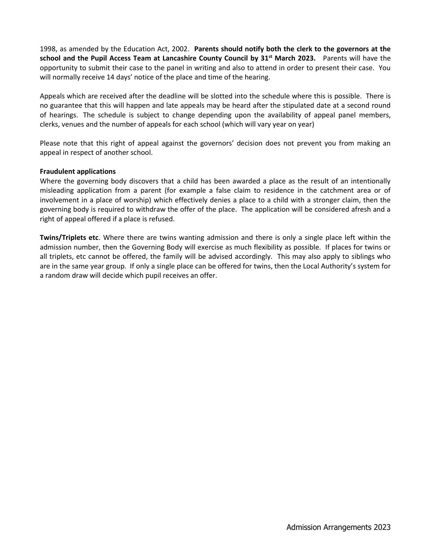1998, as amended by the Education Act, 2002. **Parents should notify both the clerk to the governors at the school and the Pupil Access Team at Lancashire County Council by 31st March 2023.** Parents will have the opportunity to submit their case to the panel in writing and also to attend in order to present their case. You will normally receive 14 days' notice of the place and time of the hearing.

Appeals which are received after the deadline will be slotted into the schedule where this is possible. There is no guarantee that this will happen and late appeals may be heard after the stipulated date at a second round of hearings. The schedule is subject to change depending upon the availability of appeal panel members, clerks, venues and the number of appeals for each school (which will vary year on year)

Please note that this right of appeal against the governors' decision does not prevent you from making an appeal in respect of another school.

#### **Fraudulent applications**

Where the governing body discovers that a child has been awarded a place as the result of an intentionally misleading application from a parent (for example a false claim to residence in the catchment area or of involvement in a place of worship) which effectively denies a place to a child with a stronger claim, then the governing body is required to withdraw the offer of the place. The application will be considered afresh and a right of appeal offered if a place is refused.

**Twins/Triplets etc**. Where there are twins wanting admission and there is only a single place left within the admission number, then the Governing Body will exercise as much flexibility as possible. If places for twins or all triplets, etc cannot be offered, the family will be advised accordingly. This may also apply to siblings who are in the same year group. If only a single place can be offered for twins, then the Local Authority's system for a random draw will decide which pupil receives an offer.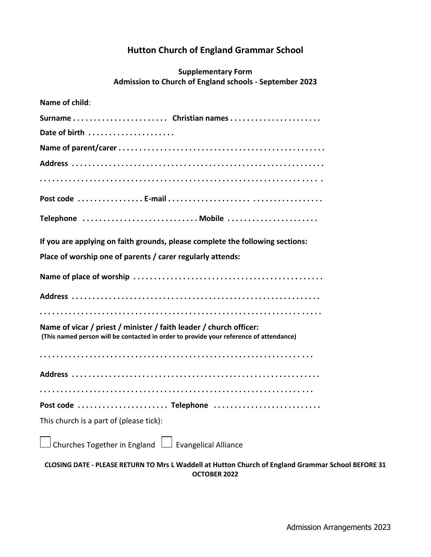# **Hutton Church of England Grammar School**

## **Supplementary Form Admission to Church of England schools - September 2023**

| Name of child:                                                                                                                                               |
|--------------------------------------------------------------------------------------------------------------------------------------------------------------|
| Surname Christian names                                                                                                                                      |
| Date of birth                                                                                                                                                |
|                                                                                                                                                              |
|                                                                                                                                                              |
|                                                                                                                                                              |
|                                                                                                                                                              |
| Telephone  Mobile                                                                                                                                            |
| If you are applying on faith grounds, please complete the following sections:                                                                                |
| Place of worship one of parents / carer regularly attends:                                                                                                   |
|                                                                                                                                                              |
|                                                                                                                                                              |
|                                                                                                                                                              |
| Name of vicar / priest / minister / faith leader / church officer:<br>(This named person will be contacted in order to provide your reference of attendance) |
|                                                                                                                                                              |
|                                                                                                                                                              |
|                                                                                                                                                              |
| Post code  Telephone                                                                                                                                         |
| This church is a part of (please tick):                                                                                                                      |
| Churches Together in England L Evangelical Alliance                                                                                                          |
| CLOSING DATE - PLEASE RETURN TO Mrs L Waddell at Hutton Church of England Grammar School BEFORE 31                                                           |

**OCTOBER 2022**